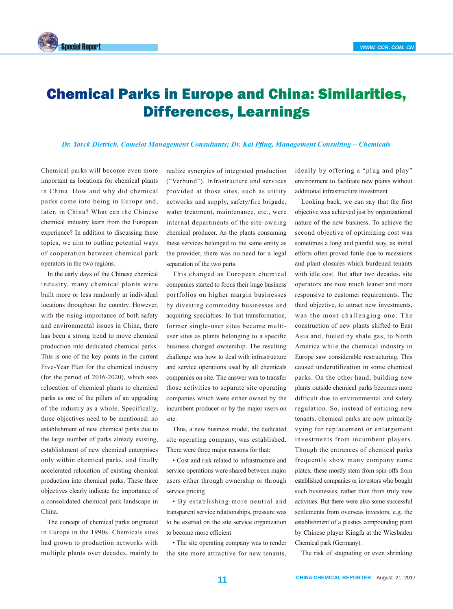

## Chemical Parks in Europe and China: Similarities, Differences, Learnings

*Dr. Yorck Dietrich, Camelot Management Consultants; Dr. Kai Pflug, Management Consulting – Chemicals*

Chemical parks will become even more important as locations for chemical plants in China. How and why did chemical parks come into being in Europe and, later, in China? What can the Chinese chemical industry learn from the European experience? In addition to discussing these topics, we aim to outline potential ways of cooperation between chemical park operators in the two regions.

In the early days of the Chinese chemical industry, many chemical plants were built more or less randomly at individual locations throughout the country. However, with the rising importance of both safety and environmental issues in China, there has been a strong trend to move chemical production into dedicated chemical parks. This is one of the key points in the current Five-Year Plan for the chemical industry (for the period of 2016-2020), which sees relocation of chemical plants to chemical parks as one of the pillars of an upgrading of the industry as a whole. Specifically, three objectives need to be mentioned: no establishment of new chemical parks due to the large number of parks already existing, establishment of new chemical enterprises only within chemical parks, and finally accelerated relocation of existing chemical production into chemical parks. These three objectives clearly indicate the importance of a consolidated chemical park landscape in China.

The concept of chemical parks originated in Europe in the 1990s. Chemicals sites had grown to production networks with multiple plants over decades, mainly to realize synergies of integrated production ("Verbund"). Infrastructure and services provided at those sites, such as utility networks and supply, safety/fire brigade, water treatment, maintenance, etc., were internal departments of the site-owning chemical producer. As the plants consuming these services belonged to the same entity as the provider, there was no need for a legal separation of the two parts.

This changed as European chemical companies started to focus their huge business portfolios on higher margin businesses by divesting commodity businesses and acquiring specialties. In that transformation, former single-user sites became multiuser sites as plants belonging to a specific business changed ownership. The resulting challenge was how to deal with infrastructure and service operations used by all chemicals companies on site. The answer was to transfer those activities to separate site operating companies which were either owned by the incumbent producer or by the major users on site.

Thus, a new business model, the dedicated site operating company, was established. There were three major reasons for that:

• Cost and risk related to infrastructure and service operations were shared between major users either through ownership or through service pricing

• By establishing more neutral and transparent service relationships, pressure was to be exerted on the site service organization to become more efficient

• The site operating company was to render the site more attractive for new tenants,

ideally by offering a "plug and play" environment to facilitate new plants without additional infrastructure investment

Looking back, we can say that the first objective was achieved just by organizational nature of the new business. To achieve the second objective of optimizing cost was sometimes a long and painful way, as initial efforts often proved futile due to recessions and plant closures which burdened tenants with idle cost. But after two decades, site operators are now much leaner and more responsive to customer requirements. The third objective, to attract new investments, was the most challenging one. The construction of new plants shifted to East Asia and, fueled by shale gas, to North America while the chemical industry in Europe saw considerable restructuring. This caused underutilization in some chemical parks. On the other hand, building new plants outside chemical parks becomes more difficult due to environmental and safety regulation. So, instead of enticing new tenants, chemical parks are now primarily vying for replacement or enlargement investments from incumbent players. Though the entrances of chemical parks frequently show many company name plates, these mostly stem from spin-offs from established companies or investors who bought such businesses, rather than from truly new activities. But there were also some successful settlements from overseas investors, e.g. the establishment of a plastics compounding plant by Chinese player Kingfa at the Wiesbaden Chemical park (Germany).

The risk of stagnating or even shrinking